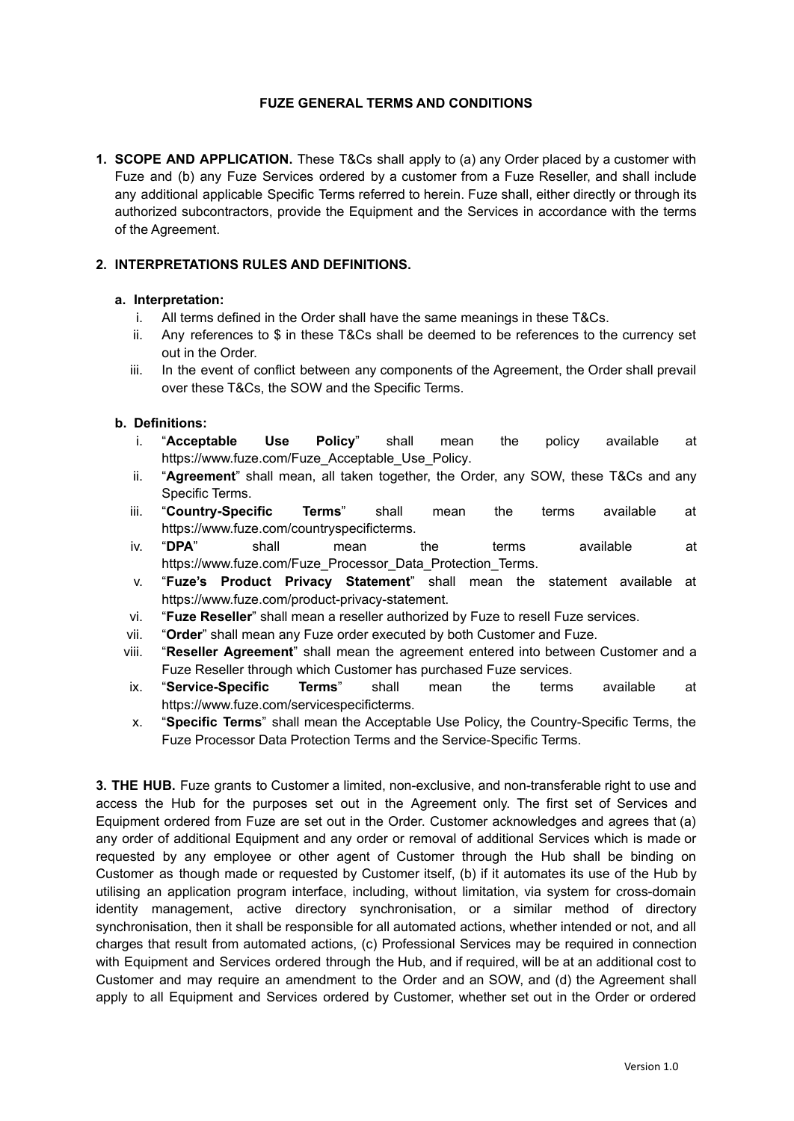# **FUZE GENERAL TERMS AND CONDITIONS**

**1. SCOPE AND APPLICATION.** These T&Cs shall apply to (a) any Order placed by a customer with Fuze and (b) any Fuze Services ordered by a customer from a Fuze Reseller, and shall include any additional applicable Specific Terms referred to herein. Fuze shall, either directly or through its authorized subcontractors, provide the Equipment and the Services in accordance with the terms of the Agreement.

### **2. INTERPRETATIONS RULES AND DEFINITIONS.**

#### **a. Interpretation:**

- i. All terms defined in the Order shall have the same meanings in these T&Cs.
- ii. Any references to \$ in these T&Cs shall be deemed to be references to the currency set out in the Order.
- iii. In the event of conflict between any components of the Agreement, the Order shall prevail over these T&Cs, the SOW and the Specific Terms.

#### **b. Definitions:**

- i. "**Acceptable Use Policy**" shall mean the policy available at [https://www.fuze.com/Fuze\\_Acceptable\\_Use\\_Policy.](https://www.fuze.com/Fuze_Acceptable_Use_Policy)
- ii. "**Agreement**" shall mean, all taken together, the Order, any SOW, these T&Cs and any Specific Terms.
- iii. "**Country-Specific Terms**" shall mean the terms available at [https://www.fuze.com/countryspecificterms.](https://www.fuze.com/countryspecificterms)
- iv. "**DPA**" shall mean the terms available at [https://www.fuze.com/Fuze\\_Processor\\_Data\\_Protection\\_Terms.](https://www.fuze.com/Fuze_Processor_Data_Protection_Terms)
- v. "**Fuze's Product Privacy Statement**" shall mean the statement available at <https://www.fuze.com/product-privacy-statement>.
- vi. "**Fuze Reseller**" shall mean a reseller authorized by Fuze to resell Fuze services.
- vii. "**Order**" shall mean any Fuze order executed by both Customer and Fuze.
- viii. "**Reseller Agreement**" shall mean the agreement entered into between Customer and a Fuze Reseller through which Customer has purchased Fuze services.
- ix. "**Service-Specific Terms**" shall mean the terms available at https://www.fuze.com/servicespecificterms.
- x. "**Specific Terms**" shall mean the Acceptable Use Policy, the Country-Specific Terms, the Fuze Processor Data Protection Terms and the Service-Specific Terms.

**3. THE HUB.** Fuze grants to Customer a limited, non-exclusive, and non-transferable right to use and access the Hub for the purposes set out in the Agreement only. The first set of Services and Equipment ordered from Fuze are set out in the Order. Customer acknowledges and agrees that (a) any order of additional Equipment and any order or removal of additional Services which is made or requested by any employee or other agent of Customer through the Hub shall be binding on Customer as though made or requested by Customer itself, (b) if it automates its use of the Hub by utilising an application program interface, including, without limitation, via system for cross-domain identity management, active directory synchronisation, or a similar method of directory synchronisation, then it shall be responsible for all automated actions, whether intended or not, and all charges that result from automated actions, (c) Professional Services may be required in connection with Equipment and Services ordered through the Hub, and if required, will be at an additional cost to Customer and may require an amendment to the Order and an SOW, and (d) the Agreement shall apply to all Equipment and Services ordered by Customer, whether set out in the Order or ordered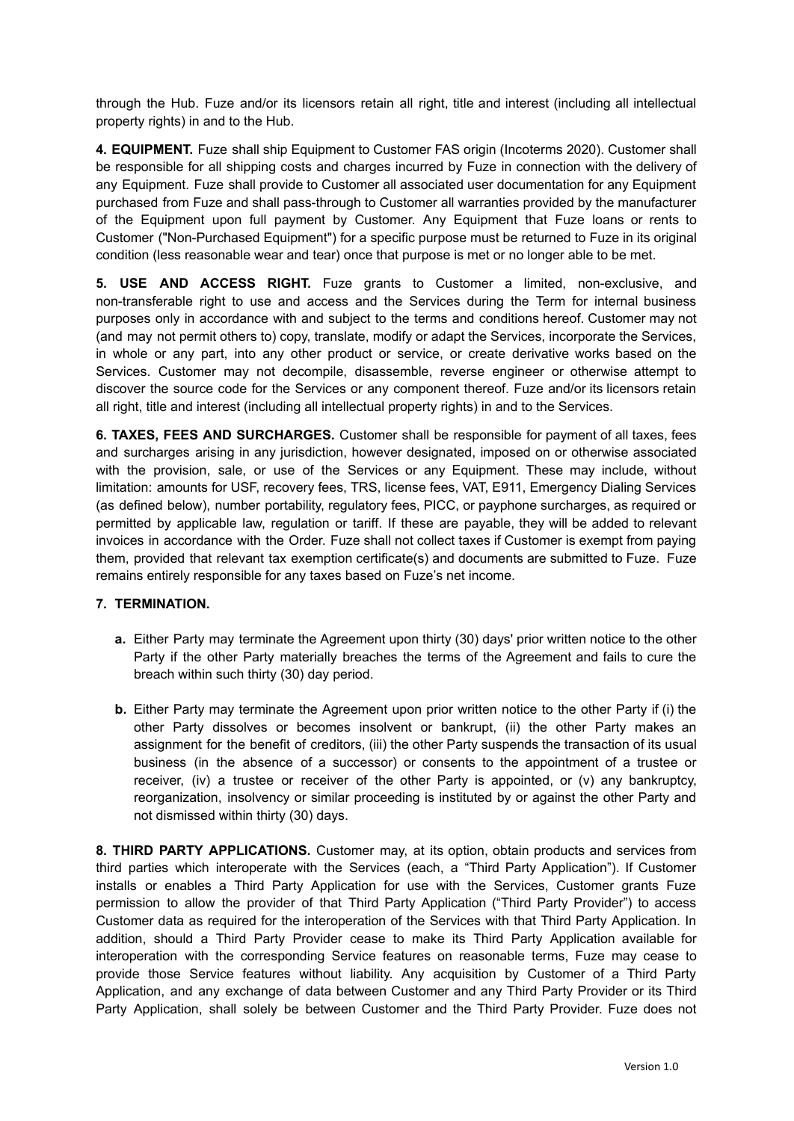through the Hub. Fuze and/or its licensors retain all right, title and interest (including all intellectual property rights) in and to the Hub.

**4. EQUIPMENT.** Fuze shall ship Equipment to Customer FAS origin (Incoterms 2020). Customer shall be responsible for all shipping costs and charges incurred by Fuze in connection with the delivery of any Equipment. Fuze shall provide to Customer all associated user documentation for any Equipment purchased from Fuze and shall pass-through to Customer all warranties provided by the manufacturer of the Equipment upon full payment by Customer. Any Equipment that Fuze loans or rents to Customer ("Non-Purchased Equipment") for a specific purpose must be returned to Fuze in its original condition (less reasonable wear and tear) once that purpose is met or no longer able to be met.

**5. USE AND ACCESS RIGHT.** Fuze grants to Customer a limited, non-exclusive, and non-transferable right to use and access and the Services during the Term for internal business purposes only in accordance with and subject to the terms and conditions hereof. Customer may not (and may not permit others to) copy, translate, modify or adapt the Services, incorporate the Services, in whole or any part, into any other product or service, or create derivative works based on the Services. Customer may not decompile, disassemble, reverse engineer or otherwise attempt to discover the source code for the Services or any component thereof. Fuze and/or its licensors retain all right, title and interest (including all intellectual property rights) in and to the Services.

**6. TAXES, FEES AND SURCHARGES.** Customer shall be responsible for payment of all taxes, fees and surcharges arising in any jurisdiction, however designated, imposed on or otherwise associated with the provision, sale, or use of the Services or any Equipment. These may include, without limitation: amounts for USF, recovery fees, TRS, license fees, VAT, E911, Emergency Dialing Services (as defined below), number portability, regulatory fees, PICC, or payphone surcharges, as required or permitted by applicable law, regulation or tariff. If these are payable, they will be added to relevant invoices in accordance with the Order. Fuze shall not collect taxes if Customer is exempt from paying them, provided that relevant tax exemption certificate(s) and documents are submitted to Fuze. Fuze remains entirely responsible for any taxes based on Fuze's net income.

### **7. TERMINATION.**

- **a.** Either Party may terminate the Agreement upon thirty (30) days' prior written notice to the other Party if the other Party materially breaches the terms of the Agreement and fails to cure the breach within such thirty (30) day period.
- **b.** Either Party may terminate the Agreement upon prior written notice to the other Party if (i) the other Party dissolves or becomes insolvent or bankrupt, (ii) the other Party makes an assignment for the benefit of creditors, (iii) the other Party suspends the transaction of its usual business (in the absence of a successor) or consents to the appointment of a trustee or receiver, (iv) a trustee or receiver of the other Party is appointed, or (v) any bankruptcy, reorganization, insolvency or similar proceeding is instituted by or against the other Party and not dismissed within thirty (30) days.

**8. THIRD PARTY APPLICATIONS.** Customer may, at its option, obtain products and services from third parties which interoperate with the Services (each, a "Third Party Application"). If Customer installs or enables a Third Party Application for use with the Services, Customer grants Fuze permission to allow the provider of that Third Party Application ("Third Party Provider") to access Customer data as required for the interoperation of the Services with that Third Party Application. In addition, should a Third Party Provider cease to make its Third Party Application available for interoperation with the corresponding Service features on reasonable terms, Fuze may cease to provide those Service features without liability. Any acquisition by Customer of a Third Party Application, and any exchange of data between Customer and any Third Party Provider or its Third Party Application, shall solely be between Customer and the Third Party Provider. Fuze does not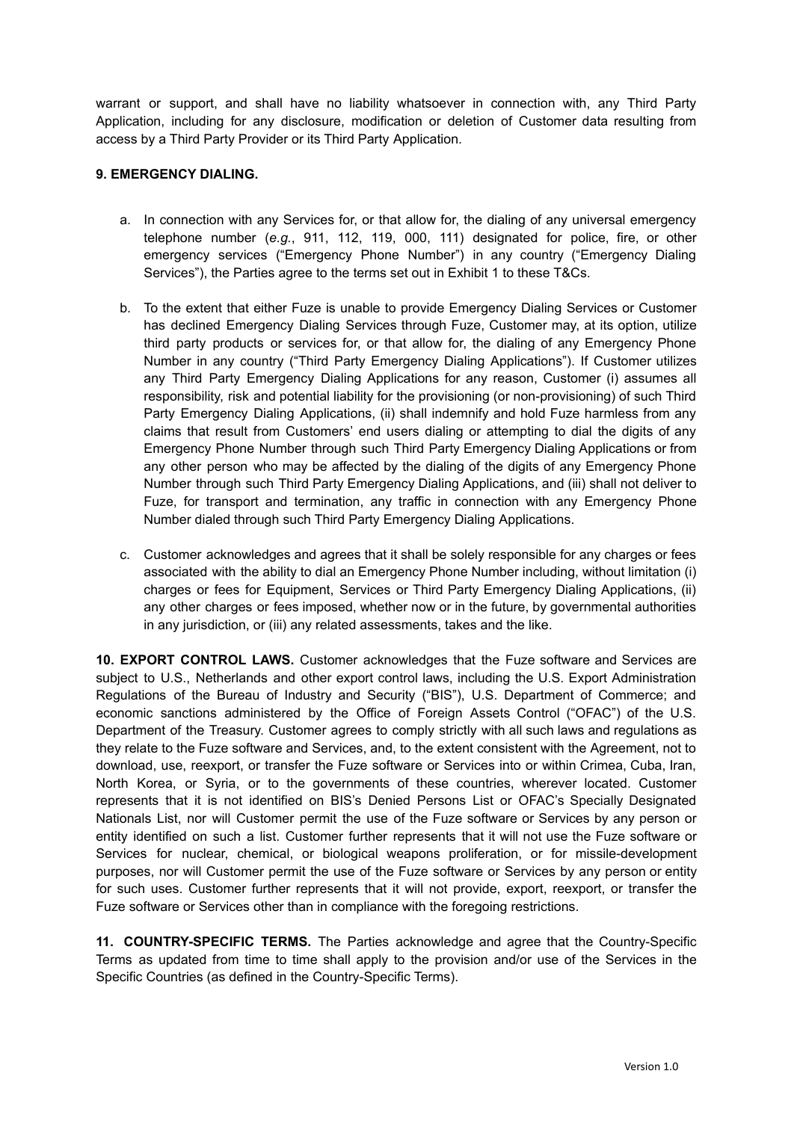warrant or support, and shall have no liability whatsoever in connection with, any Third Party Application, including for any disclosure, modification or deletion of Customer data resulting from access by a Third Party Provider or its Third Party Application.

### **9. EMERGENCY DIALING.**

- a. In connection with any Services for, or that allow for, the dialing of any universal emergency telephone number (*e.g.*, 911, 112, 119, 000, 111) designated for police, fire, or other emergency services ("Emergency Phone Number") in any country ("Emergency Dialing Services"), the Parties agree to the terms set out in Exhibit 1 to these T&Cs.
- b. To the extent that either Fuze is unable to provide Emergency Dialing Services or Customer has declined Emergency Dialing Services through Fuze, Customer may, at its option, utilize third party products or services for, or that allow for, the dialing of any Emergency Phone Number in any country ("Third Party Emergency Dialing Applications"). If Customer utilizes any Third Party Emergency Dialing Applications for any reason, Customer (i) assumes all responsibility, risk and potential liability for the provisioning (or non-provisioning) of such Third Party Emergency Dialing Applications, (ii) shall indemnify and hold Fuze harmless from any claims that result from Customers' end users dialing or attempting to dial the digits of any Emergency Phone Number through such Third Party Emergency Dialing Applications or from any other person who may be affected by the dialing of the digits of any Emergency Phone Number through such Third Party Emergency Dialing Applications, and (iii) shall not deliver to Fuze, for transport and termination, any traffic in connection with any Emergency Phone Number dialed through such Third Party Emergency Dialing Applications.
- c. Customer acknowledges and agrees that it shall be solely responsible for any charges or fees associated with the ability to dial an Emergency Phone Number including, without limitation (i) charges or fees for Equipment, Services or Third Party Emergency Dialing Applications, (ii) any other charges or fees imposed, whether now or in the future, by governmental authorities in any jurisdiction, or (iii) any related assessments, takes and the like.

**10. EXPORT CONTROL LAWS.** Customer acknowledges that the Fuze software and Services are subject to U.S., Netherlands and other export control laws, including the U.S. Export Administration Regulations of the Bureau of Industry and Security ("BIS"), U.S. Department of Commerce; and economic sanctions administered by the Office of Foreign Assets Control ("OFAC") of the U.S. Department of the Treasury. Customer agrees to comply strictly with all such laws and regulations as they relate to the Fuze software and Services, and, to the extent consistent with the Agreement, not to download, use, reexport, or transfer the Fuze software or Services into or within Crimea, Cuba, Iran, North Korea, or Syria, or to the governments of these countries, wherever located. Customer represents that it is not identified on BIS's Denied Persons List or OFAC's Specially Designated Nationals List, nor will Customer permit the use of the Fuze software or Services by any person or entity identified on such a list. Customer further represents that it will not use the Fuze software or Services for nuclear, chemical, or biological weapons proliferation, or for missile-development purposes, nor will Customer permit the use of the Fuze software or Services by any person or entity for such uses. Customer further represents that it will not provide, export, reexport, or transfer the Fuze software or Services other than in compliance with the foregoing restrictions.

**11. COUNTRY-SPECIFIC TERMS.** The Parties acknowledge and agree that the Country-Specific Terms as updated from time to time shall apply to the provision and/or use of the Services in the Specific Countries (as defined in the Country-Specific Terms).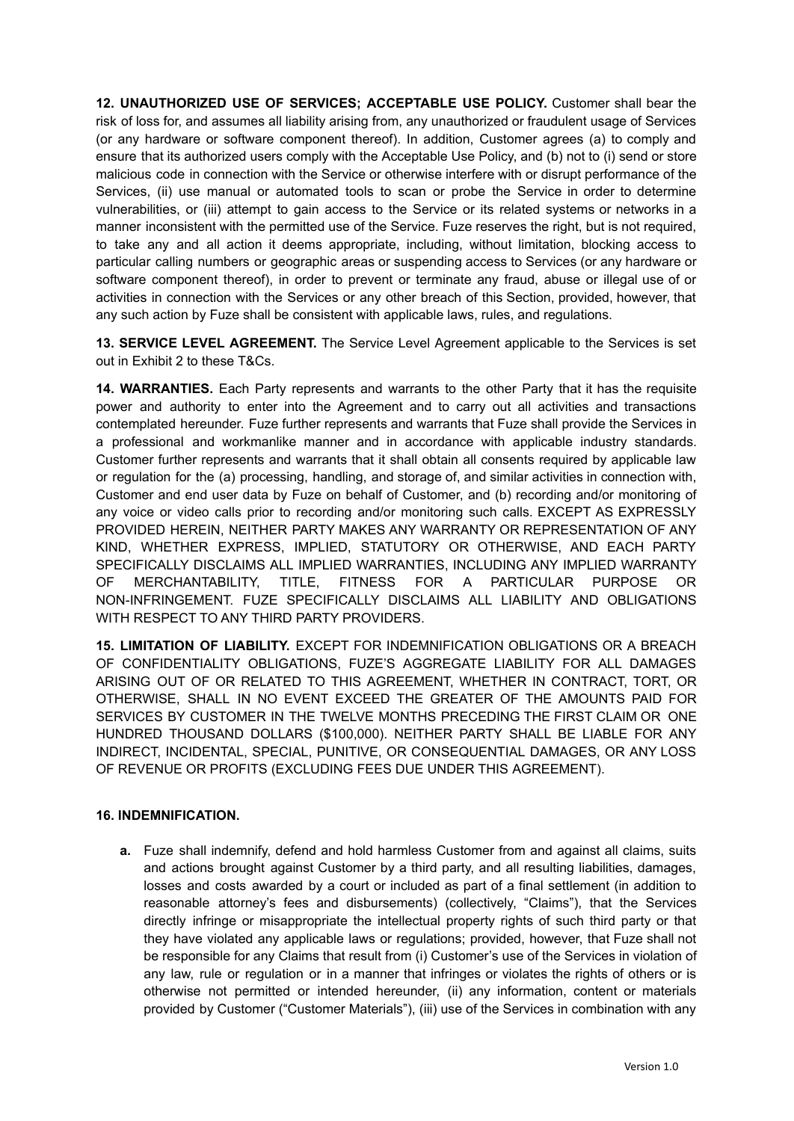**12. UNAUTHORIZED USE OF SERVICES; ACCEPTABLE USE POLICY.** Customer shall bear the risk of loss for, and assumes all liability arising from, any unauthorized or fraudulent usage of Services (or any hardware or software component thereof). In addition, Customer agrees (a) to comply and ensure that its authorized users comply with the Acceptable Use Policy, and (b) not to (i) send or store malicious code in connection with the Service or otherwise interfere with or disrupt performance of the Services, (ii) use manual or automated tools to scan or probe the Service in order to determine vulnerabilities, or (iii) attempt to gain access to the Service or its related systems or networks in a manner inconsistent with the permitted use of the Service. Fuze reserves the right, but is not required, to take any and all action it deems appropriate, including, without limitation, blocking access to particular calling numbers or geographic areas or suspending access to Services (or any hardware or software component thereof), in order to prevent or terminate any fraud, abuse or illegal use of or activities in connection with the Services or any other breach of this Section, provided, however, that any such action by Fuze shall be consistent with applicable laws, rules, and regulations.

**13. SERVICE LEVEL AGREEMENT.** The Service Level Agreement applicable to the Services is set out in Exhibit 2 to these T&Cs.

**14. WARRANTIES.** Each Party represents and warrants to the other Party that it has the requisite power and authority to enter into the Agreement and to carry out all activities and transactions contemplated hereunder. Fuze further represents and warrants that Fuze shall provide the Services in a professional and workmanlike manner and in accordance with applicable industry standards. Customer further represents and warrants that it shall obtain all consents required by applicable law or regulation for the (a) processing, handling, and storage of, and similar activities in connection with, Customer and end user data by Fuze on behalf of Customer, and (b) recording and/or monitoring of any voice or video calls prior to recording and/or monitoring such calls. EXCEPT AS EXPRESSLY PROVIDED HEREIN, NEITHER PARTY MAKES ANY WARRANTY OR REPRESENTATION OF ANY KIND, WHETHER EXPRESS, IMPLIED, STATUTORY OR OTHERWISE, AND EACH PARTY SPECIFICALLY DISCLAIMS ALL IMPLIED WARRANTIES, INCLUDING ANY IMPLIED WARRANTY OF MERCHANTABILITY, TITLE, FITNESS FOR A PARTICULAR PURPOSE OR NON-INFRINGEMENT. FUZE SPECIFICALLY DISCLAIMS ALL LIABILITY AND OBLIGATIONS WITH RESPECT TO ANY THIRD PARTY PROVIDERS.

**15. LIMITATION OF LIABILITY.** EXCEPT FOR INDEMNIFICATION OBLIGATIONS OR A BREACH OF CONFIDENTIALITY OBLIGATIONS, FUZE'S AGGREGATE LIABILITY FOR ALL DAMAGES ARISING OUT OF OR RELATED TO THIS AGREEMENT, WHETHER IN CONTRACT, TORT, OR OTHERWISE, SHALL IN NO EVENT EXCEED THE GREATER OF THE AMOUNTS PAID FOR SERVICES BY CUSTOMER IN THE TWELVE MONTHS PRECEDING THE FIRST CLAIM OR ONE HUNDRED THOUSAND DOLLARS (\$100,000). NEITHER PARTY SHALL BE LIABLE FOR ANY INDIRECT, INCIDENTAL, SPECIAL, PUNITIVE, OR CONSEQUENTIAL DAMAGES, OR ANY LOSS OF REVENUE OR PROFITS (EXCLUDING FEES DUE UNDER THIS AGREEMENT).

### **16. INDEMNIFICATION.**

**a.** Fuze shall indemnify, defend and hold harmless Customer from and against all claims, suits and actions brought against Customer by a third party, and all resulting liabilities, damages, losses and costs awarded by a court or included as part of a final settlement (in addition to reasonable attorney's fees and disbursements) (collectively, "Claims"), that the Services directly infringe or misappropriate the intellectual property rights of such third party or that they have violated any applicable laws or regulations; provided, however, that Fuze shall not be responsible for any Claims that result from (i) Customer's use of the Services in violation of any law, rule or regulation or in a manner that infringes or violates the rights of others or is otherwise not permitted or intended hereunder, (ii) any information, content or materials provided by Customer ("Customer Materials"), (iii) use of the Services in combination with any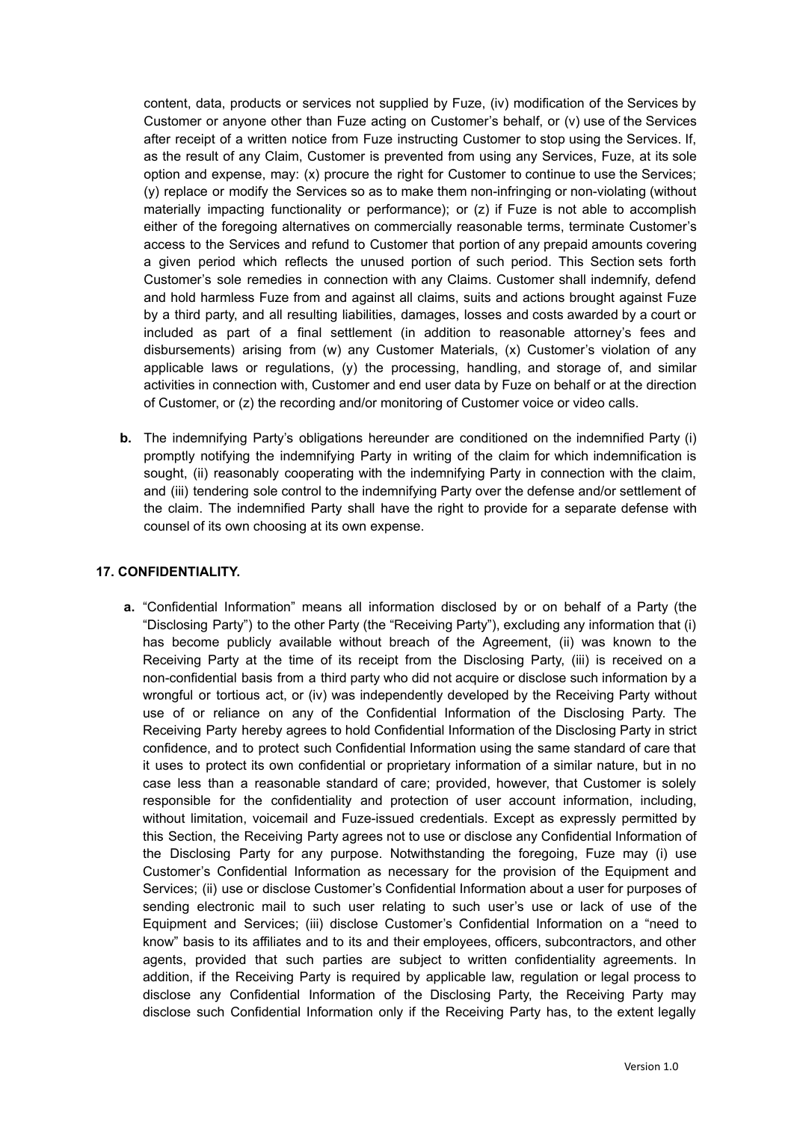content, data, products or services not supplied by Fuze, (iv) modification of the Services by Customer or anyone other than Fuze acting on Customer's behalf, or (v) use of the Services after receipt of a written notice from Fuze instructing Customer to stop using the Services. If, as the result of any Claim, Customer is prevented from using any Services, Fuze, at its sole option and expense, may: (x) procure the right for Customer to continue to use the Services; (y) replace or modify the Services so as to make them non-infringing or non-violating (without materially impacting functionality or performance); or (z) if Fuze is not able to accomplish either of the foregoing alternatives on commercially reasonable terms, terminate Customer's access to the Services and refund to Customer that portion of any prepaid amounts covering a given period which reflects the unused portion of such period. This Section sets forth Customer's sole remedies in connection with any Claims. Customer shall indemnify, defend and hold harmless Fuze from and against all claims, suits and actions brought against Fuze by a third party, and all resulting liabilities, damages, losses and costs awarded by a court or included as part of a final settlement (in addition to reasonable attorney's fees and disbursements) arising from (w) any Customer Materials, (x) Customer's violation of any applicable laws or regulations, (y) the processing, handling, and storage of, and similar activities in connection with, Customer and end user data by Fuze on behalf or at the direction of Customer, or (z) the recording and/or monitoring of Customer voice or video calls.

**b.** The indemnifying Party's obligations hereunder are conditioned on the indemnified Party (i) promptly notifying the indemnifying Party in writing of the claim for which indemnification is sought, (ii) reasonably cooperating with the indemnifying Party in connection with the claim, and (iii) tendering sole control to the indemnifying Party over the defense and/or settlement of the claim. The indemnified Party shall have the right to provide for a separate defense with counsel of its own choosing at its own expense.

### **17. CONFIDENTIALITY.**

**a.** "Confidential Information" means all information disclosed by or on behalf of a Party (the "Disclosing Party") to the other Party (the "Receiving Party"), excluding any information that (i) has become publicly available without breach of the Agreement, (ii) was known to the Receiving Party at the time of its receipt from the Disclosing Party, (iii) is received on a non-confidential basis from a third party who did not acquire or disclose such information by a wrongful or tortious act, or (iv) was independently developed by the Receiving Party without use of or reliance on any of the Confidential Information of the Disclosing Party. The Receiving Party hereby agrees to hold Confidential Information of the Disclosing Party in strict confidence, and to protect such Confidential Information using the same standard of care that it uses to protect its own confidential or proprietary information of a similar nature, but in no case less than a reasonable standard of care; provided, however, that Customer is solely responsible for the confidentiality and protection of user account information, including, without limitation, voicemail and Fuze-issued credentials. Except as expressly permitted by this Section, the Receiving Party agrees not to use or disclose any Confidential Information of the Disclosing Party for any purpose. Notwithstanding the foregoing, Fuze may (i) use Customer's Confidential Information as necessary for the provision of the Equipment and Services; (ii) use or disclose Customer's Confidential Information about a user for purposes of sending electronic mail to such user relating to such user's use or lack of use of the Equipment and Services; (iii) disclose Customer's Confidential Information on a "need to know" basis to its affiliates and to its and their employees, officers, subcontractors, and other agents, provided that such parties are subject to written confidentiality agreements. In addition, if the Receiving Party is required by applicable law, regulation or legal process to disclose any Confidential Information of the Disclosing Party, the Receiving Party may disclose such Confidential Information only if the Receiving Party has, to the extent legally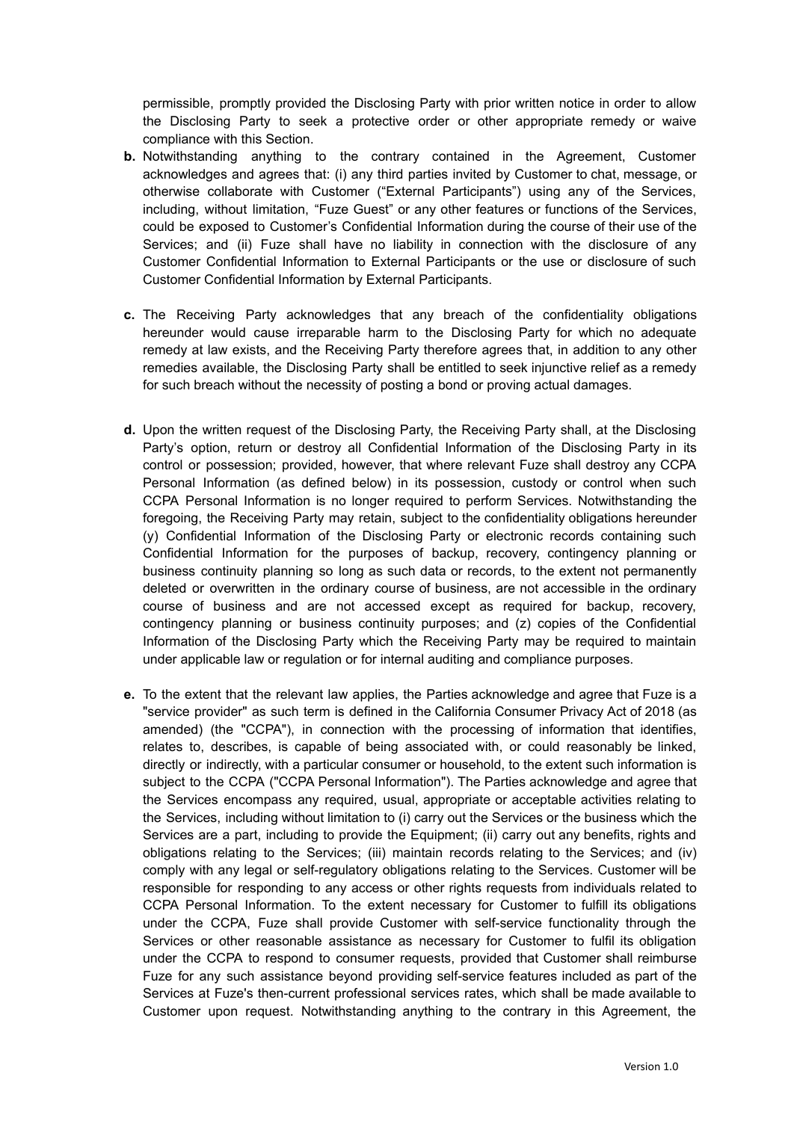permissible, promptly provided the Disclosing Party with prior written notice in order to allow the Disclosing Party to seek a protective order or other appropriate remedy or waive compliance with this Section.

- **b.** Notwithstanding anything to the contrary contained in the Agreement, Customer acknowledges and agrees that: (i) any third parties invited by Customer to chat, message, or otherwise collaborate with Customer ("External Participants") using any of the Services, including, without limitation, "Fuze Guest" or any other features or functions of the Services, could be exposed to Customer's Confidential Information during the course of their use of the Services; and (ii) Fuze shall have no liability in connection with the disclosure of any Customer Confidential Information to External Participants or the use or disclosure of such Customer Confidential Information by External Participants.
- **c.** The Receiving Party acknowledges that any breach of the confidentiality obligations hereunder would cause irreparable harm to the Disclosing Party for which no adequate remedy at law exists, and the Receiving Party therefore agrees that, in addition to any other remedies available, the Disclosing Party shall be entitled to seek injunctive relief as a remedy for such breach without the necessity of posting a bond or proving actual damages.
- **d.** Upon the written request of the Disclosing Party, the Receiving Party shall, at the Disclosing Party's option, return or destroy all Confidential Information of the Disclosing Party in its control or possession; provided, however, that where relevant Fuze shall destroy any CCPA Personal Information (as defined below) in its possession, custody or control when such CCPA Personal Information is no longer required to perform Services. Notwithstanding the foregoing, the Receiving Party may retain, subject to the confidentiality obligations hereunder (y) Confidential Information of the Disclosing Party or electronic records containing such Confidential Information for the purposes of backup, recovery, contingency planning or business continuity planning so long as such data or records, to the extent not permanently deleted or overwritten in the ordinary course of business, are not accessible in the ordinary course of business and are not accessed except as required for backup, recovery, contingency planning or business continuity purposes; and (z) copies of the Confidential Information of the Disclosing Party which the Receiving Party may be required to maintain under applicable law or regulation or for internal auditing and compliance purposes.
- **e.** To the extent that the relevant law applies, the Parties acknowledge and agree that Fuze is a "service provider" as such term is defined in the California Consumer Privacy Act of 2018 (as amended) (the "CCPA"), in connection with the processing of information that identifies, relates to, describes, is capable of being associated with, or could reasonably be linked, directly or indirectly, with a particular consumer or household, to the extent such information is subject to the CCPA ("CCPA Personal Information"). The Parties acknowledge and agree that the Services encompass any required, usual, appropriate or acceptable activities relating to the Services, including without limitation to (i) carry out the Services or the business which the Services are a part, including to provide the Equipment; (ii) carry out any benefits, rights and obligations relating to the Services; (iii) maintain records relating to the Services; and (iv) comply with any legal or self-regulatory obligations relating to the Services. Customer will be responsible for responding to any access or other rights requests from individuals related to CCPA Personal Information. To the extent necessary for Customer to fulfill its obligations under the CCPA, Fuze shall provide Customer with self-service functionality through the Services or other reasonable assistance as necessary for Customer to fulfil its obligation under the CCPA to respond to consumer requests, provided that Customer shall reimburse Fuze for any such assistance beyond providing self-service features included as part of the Services at Fuze's then-current professional services rates, which shall be made available to Customer upon request. Notwithstanding anything to the contrary in this Agreement, the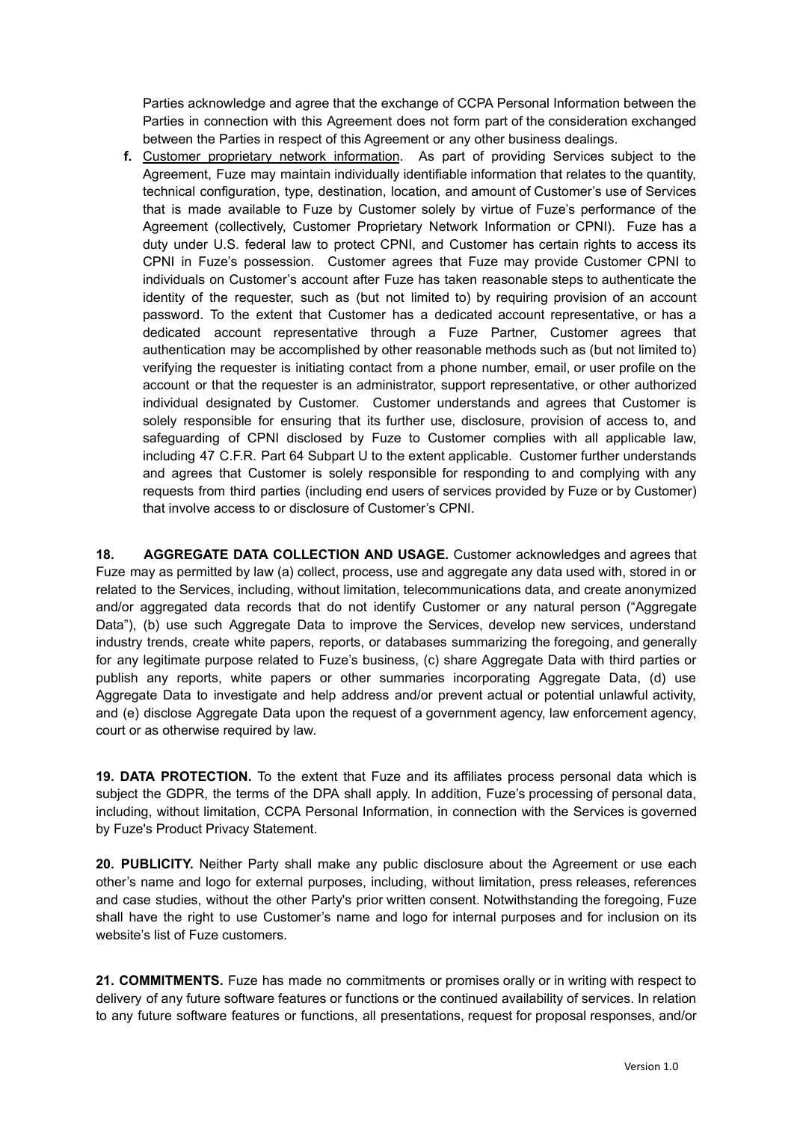Parties acknowledge and agree that the exchange of CCPA Personal Information between the Parties in connection with this Agreement does not form part of the consideration exchanged between the Parties in respect of this Agreement or any other business dealings.

**f.** Customer proprietary network information. As part of providing Services subject to the Agreement, Fuze may maintain individually identifiable information that relates to the quantity, technical configuration, type, destination, location, and amount of Customer's use of Services that is made available to Fuze by Customer solely by virtue of Fuze's performance of the Agreement (collectively, Customer Proprietary Network Information or CPNI). Fuze has a duty under U.S. federal law to protect CPNI, and Customer has certain rights to access its CPNI in Fuze's possession. Customer agrees that Fuze may provide Customer CPNI to individuals on Customer's account after Fuze has taken reasonable steps to authenticate the identity of the requester, such as (but not limited to) by requiring provision of an account password. To the extent that Customer has a dedicated account representative, or has a dedicated account representative through a Fuze Partner, Customer agrees that authentication may be accomplished by other reasonable methods such as (but not limited to) verifying the requester is initiating contact from a phone number, email, or user profile on the account or that the requester is an administrator, support representative, or other authorized individual designated by Customer. Customer understands and agrees that Customer is solely responsible for ensuring that its further use, disclosure, provision of access to, and safeguarding of CPNI disclosed by Fuze to Customer complies with all applicable law, including 47 C.F.R. Part 64 Subpart U to the extent applicable. Customer further understands and agrees that Customer is solely responsible for responding to and complying with any requests from third parties (including end users of services provided by Fuze or by Customer) that involve access to or disclosure of Customer's CPNI.

**18. AGGREGATE DATA COLLECTION AND USAGE.** Customer acknowledges and agrees that Fuze may as permitted by law (a) collect, process, use and aggregate any data used with, stored in or related to the Services, including, without limitation, telecommunications data, and create anonymized and/or aggregated data records that do not identify Customer or any natural person ("Aggregate Data"), (b) use such Aggregate Data to improve the Services, develop new services, understand industry trends, create white papers, reports, or databases summarizing the foregoing, and generally for any legitimate purpose related to Fuze's business, (c) share Aggregate Data with third parties or publish any reports, white papers or other summaries incorporating Aggregate Data, (d) use Aggregate Data to investigate and help address and/or prevent actual or potential unlawful activity, and (e) disclose Aggregate Data upon the request of a government agency, law enforcement agency, court or as otherwise required by law.

**19. DATA PROTECTION.** To the extent that Fuze and its affiliates process personal data which is subject the GDPR, the terms of the DPA shall apply. In addition, Fuze's processing of personal data, including, without limitation, CCPA Personal Information, in connection with the Services is governed by Fuze's Product Privacy Statement.

**20. PUBLICITY.** Neither Party shall make any public disclosure about the Agreement or use each other's name and logo for external purposes, including, without limitation, press releases, references and case studies, without the other Party's prior written consent. Notwithstanding the foregoing, Fuze shall have the right to use Customer's name and logo for internal purposes and for inclusion on its website's list of Fuze customers.

**21. COMMITMENTS.** Fuze has made no commitments or promises orally or in writing with respect to delivery of any future software features or functions or the continued availability of services. In relation to any future software features or functions, all presentations, request for proposal responses, and/or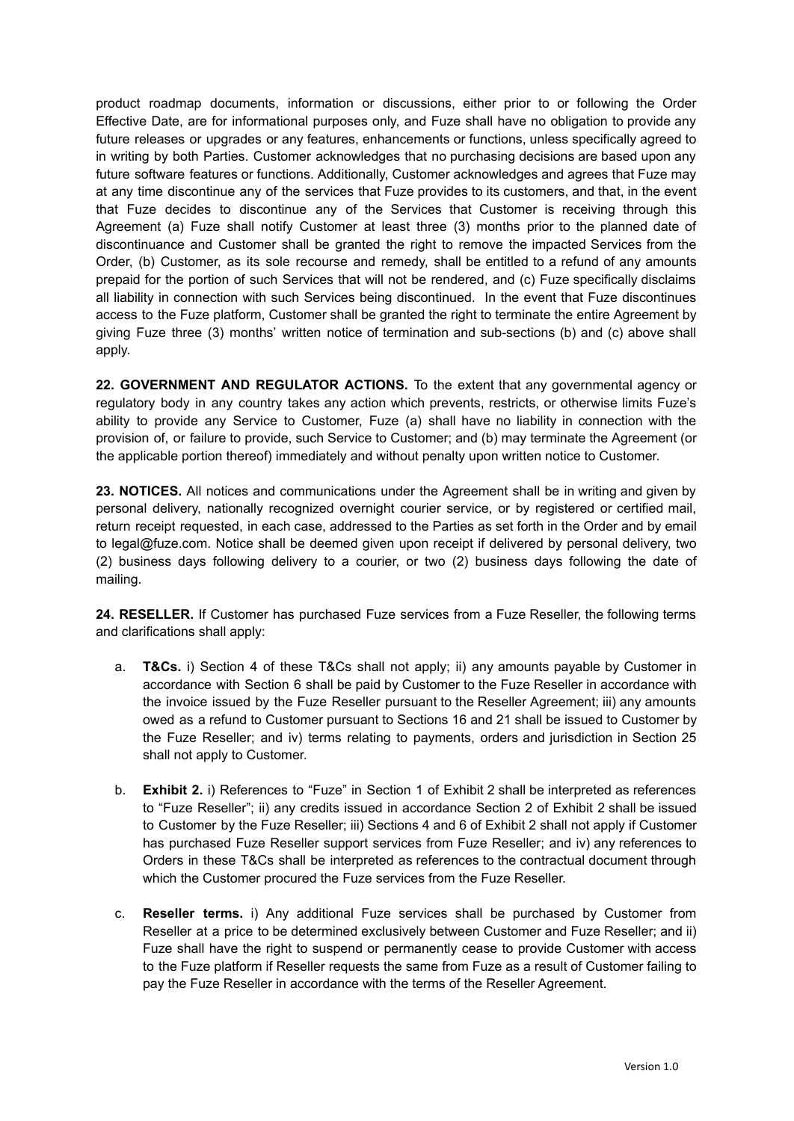product roadmap documents, information or discussions, either prior to or following the Order Effective Date, are for informational purposes only, and Fuze shall have no obligation to provide any future releases or upgrades or any features, enhancements or functions, unless specifically agreed to in writing by both Parties. Customer acknowledges that no purchasing decisions are based upon any future software features or functions. Additionally, Customer acknowledges and agrees that Fuze may at any time discontinue any of the services that Fuze provides to its customers, and that, in the event that Fuze decides to discontinue any of the Services that Customer is receiving through this Agreement (a) Fuze shall notify Customer at least three (3) months prior to the planned date of discontinuance and Customer shall be granted the right to remove the impacted Services from the Order, (b) Customer, as its sole recourse and remedy, shall be entitled to a refund of any amounts prepaid for the portion of such Services that will not be rendered, and (c) Fuze specifically disclaims all liability in connection with such Services being discontinued. In the event that Fuze discontinues access to the Fuze platform, Customer shall be granted the right to terminate the entire Agreement by giving Fuze three (3) months' written notice of termination and sub-sections (b) and (c) above shall apply.

**22. GOVERNMENT AND REGULATOR ACTIONS.** To the extent that any governmental agency or regulatory body in any country takes any action which prevents, restricts, or otherwise limits Fuze's ability to provide any Service to Customer, Fuze (a) shall have no liability in connection with the provision of, or failure to provide, such Service to Customer; and (b) may terminate the Agreement (or the applicable portion thereof) immediately and without penalty upon written notice to Customer.

**23. NOTICES.** All notices and communications under the Agreement shall be in writing and given by personal delivery, nationally recognized overnight courier service, or by registered or certified mail, return receipt requested, in each case, addressed to the Parties as set forth in the Order and by email to legal@fuze.com. Notice shall be deemed given upon receipt if delivered by personal delivery, two (2) business days following delivery to a courier, or two (2) business days following the date of mailing.

**24. RESELLER.** If Customer has purchased Fuze services from a Fuze Reseller, the following terms and clarifications shall apply:

- a. **T&Cs.** i) Section 4 of these T&Cs shall not apply; ii) any amounts payable by Customer in accordance with Section 6 shall be paid by Customer to the Fuze Reseller in accordance with the invoice issued by the Fuze Reseller pursuant to the Reseller Agreement; iii) any amounts owed as a refund to Customer pursuant to Sections 16 and 21 shall be issued to Customer by the Fuze Reseller; and iv) terms relating to payments, orders and jurisdiction in Section 25 shall not apply to Customer.
- b. **Exhibit 2.** i) References to "Fuze" in Section 1 of Exhibit 2 shall be interpreted as references to "Fuze Reseller"; ii) any credits issued in accordance Section 2 of Exhibit 2 shall be issued to Customer by the Fuze Reseller; iii) Sections 4 and 6 of Exhibit 2 shall not apply if Customer has purchased Fuze Reseller support services from Fuze Reseller; and iv) any references to Orders in these T&Cs shall be interpreted as references to the contractual document through which the Customer procured the Fuze services from the Fuze Reseller.
- c. **Reseller terms.** i) Any additional Fuze services shall be purchased by Customer from Reseller at a price to be determined exclusively between Customer and Fuze Reseller; and ii) Fuze shall have the right to suspend or permanently cease to provide Customer with access to the Fuze platform if Reseller requests the same from Fuze as a result of Customer failing to pay the Fuze Reseller in accordance with the terms of the Reseller Agreement.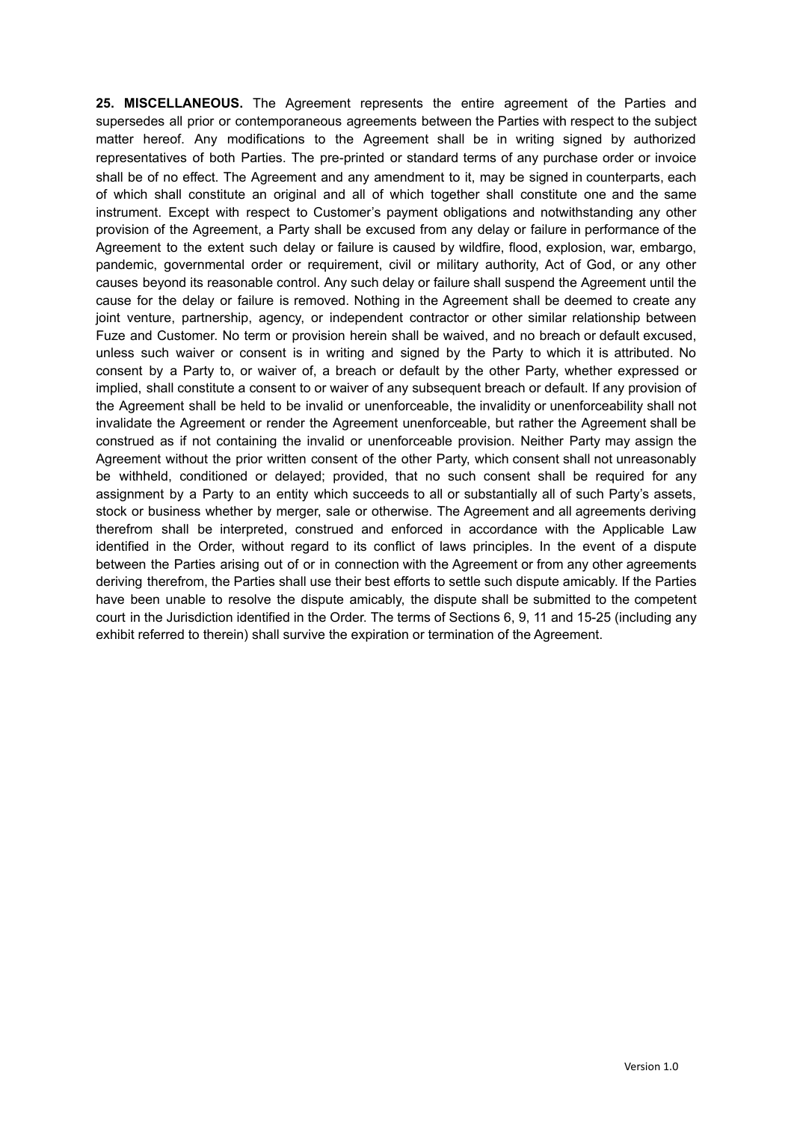**25. MISCELLANEOUS.** The Agreement represents the entire agreement of the Parties and supersedes all prior or contemporaneous agreements between the Parties with respect to the subject matter hereof. Any modifications to the Agreement shall be in writing signed by authorized representatives of both Parties. The pre-printed or standard terms of any purchase order or invoice shall be of no effect. The Agreement and any amendment to it, may be signed in counterparts, each of which shall constitute an original and all of which together shall constitute one and the same instrument. Except with respect to Customer's payment obligations and notwithstanding any other provision of the Agreement, a Party shall be excused from any delay or failure in performance of the Agreement to the extent such delay or failure is caused by wildfire, flood, explosion, war, embargo, pandemic, governmental order or requirement, civil or military authority, Act of God, or any other causes beyond its reasonable control. Any such delay or failure shall suspend the Agreement until the cause for the delay or failure is removed. Nothing in the Agreement shall be deemed to create any joint venture, partnership, agency, or independent contractor or other similar relationship between Fuze and Customer. No term or provision herein shall be waived, and no breach or default excused, unless such waiver or consent is in writing and signed by the Party to which it is attributed. No consent by a Party to, or waiver of, a breach or default by the other Party, whether expressed or implied, shall constitute a consent to or waiver of any subsequent breach or default. If any provision of the Agreement shall be held to be invalid or unenforceable, the invalidity or unenforceability shall not invalidate the Agreement or render the Agreement unenforceable, but rather the Agreement shall be construed as if not containing the invalid or unenforceable provision. Neither Party may assign the Agreement without the prior written consent of the other Party, which consent shall not unreasonably be withheld, conditioned or delayed; provided, that no such consent shall be required for any assignment by a Party to an entity which succeeds to all or substantially all of such Party's assets, stock or business whether by merger, sale or otherwise. The Agreement and all agreements deriving therefrom shall be interpreted, construed and enforced in accordance with the Applicable Law identified in the Order, without regard to its conflict of laws principles. In the event of a dispute between the Parties arising out of or in connection with the Agreement or from any other agreements deriving therefrom, the Parties shall use their best efforts to settle such dispute amicably. If the Parties have been unable to resolve the dispute amicably, the dispute shall be submitted to the competent court in the Jurisdiction identified in the Order. The terms of Sections 6, 9, 11 and 15-25 (including any exhibit referred to therein) shall survive the expiration or termination of the Agreement.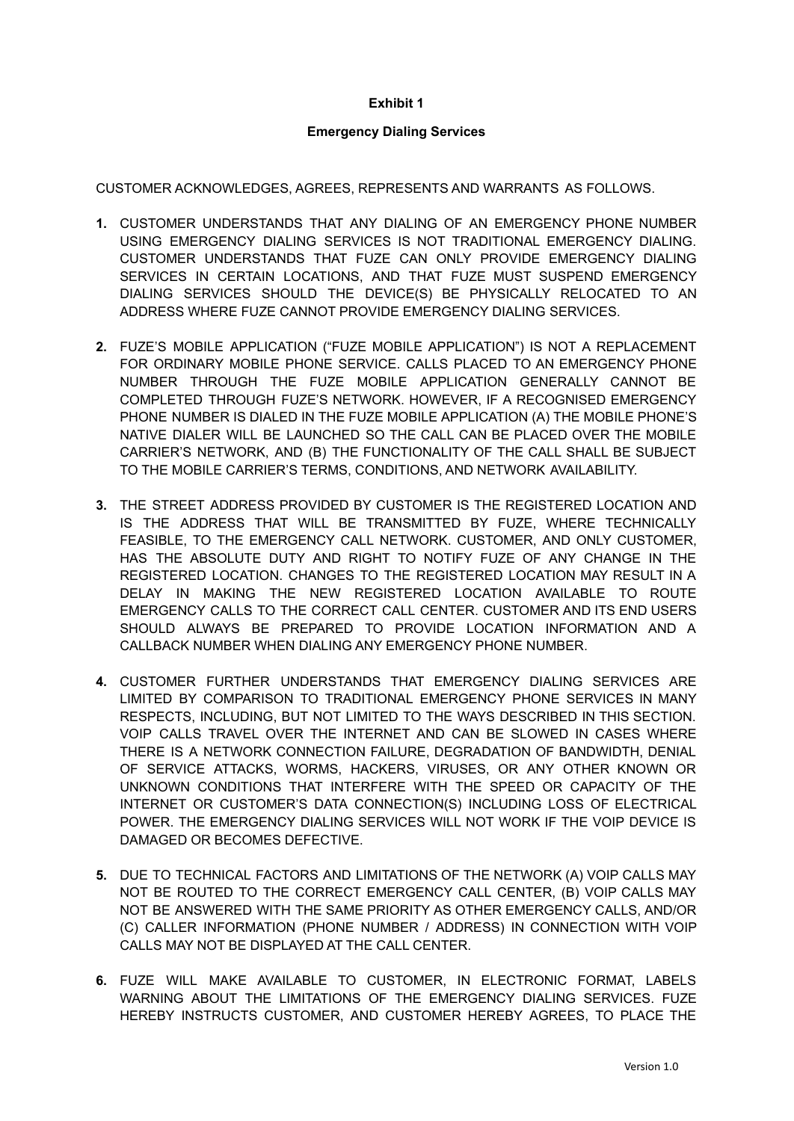### **Exhibit 1**

#### **Emergency Dialing Services**

CUSTOMER ACKNOWLEDGES, AGREES, REPRESENTS AND WARRANTS AS FOLLOWS.

- **1.** CUSTOMER UNDERSTANDS THAT ANY DIALING OF AN EMERGENCY PHONE NUMBER USING EMERGENCY DIALING SERVICES IS NOT TRADITIONAL EMERGENCY DIALING. CUSTOMER UNDERSTANDS THAT FUZE CAN ONLY PROVIDE EMERGENCY DIALING SERVICES IN CERTAIN LOCATIONS, AND THAT FUZE MUST SUSPEND EMERGENCY DIALING SERVICES SHOULD THE DEVICE(S) BE PHYSICALLY RELOCATED TO AN ADDRESS WHERE FUZE CANNOT PROVIDE EMERGENCY DIALING SERVICES.
- **2.** FUZE'S MOBILE APPLICATION ("FUZE MOBILE APPLICATION") IS NOT A REPLACEMENT FOR ORDINARY MOBILE PHONE SERVICE. CALLS PLACED TO AN EMERGENCY PHONE NUMBER THROUGH THE FUZE MOBILE APPLICATION GENERALLY CANNOT BE COMPLETED THROUGH FUZE'S NETWORK. HOWEVER, IF A RECOGNISED EMERGENCY PHONE NUMBER IS DIALED IN THE FUZE MOBILE APPLICATION (A) THE MOBILE PHONE'S NATIVE DIALER WILL BE LAUNCHED SO THE CALL CAN BE PLACED OVER THE MOBILE CARRIER'S NETWORK, AND (B) THE FUNCTIONALITY OF THE CALL SHALL BE SUBJECT TO THE MOBILE CARRIER'S TERMS, CONDITIONS, AND NETWORK AVAILABILITY.
- **3.** THE STREET ADDRESS PROVIDED BY CUSTOMER IS THE REGISTERED LOCATION AND IS THE ADDRESS THAT WILL BE TRANSMITTED BY FUZE, WHERE TECHNICALLY FEASIBLE, TO THE EMERGENCY CALL NETWORK. CUSTOMER, AND ONLY CUSTOMER, HAS THE ABSOLUTE DUTY AND RIGHT TO NOTIFY FUZE OF ANY CHANGE IN THE REGISTERED LOCATION. CHANGES TO THE REGISTERED LOCATION MAY RESULT IN A DELAY IN MAKING THE NEW REGISTERED LOCATION AVAILABLE TO ROUTE EMERGENCY CALLS TO THE CORRECT CALL CENTER. CUSTOMER AND ITS END USERS SHOULD ALWAYS BE PREPARED TO PROVIDE LOCATION INFORMATION AND A CALLBACK NUMBER WHEN DIALING ANY EMERGENCY PHONE NUMBER.
- **4.** CUSTOMER FURTHER UNDERSTANDS THAT EMERGENCY DIALING SERVICES ARE LIMITED BY COMPARISON TO TRADITIONAL EMERGENCY PHONE SERVICES IN MANY RESPECTS, INCLUDING, BUT NOT LIMITED TO THE WAYS DESCRIBED IN THIS SECTION. VOIP CALLS TRAVEL OVER THE INTERNET AND CAN BE SLOWED IN CASES WHERE THERE IS A NETWORK CONNECTION FAILURE, DEGRADATION OF BANDWIDTH, DENIAL OF SERVICE ATTACKS, WORMS, HACKERS, VIRUSES, OR ANY OTHER KNOWN OR UNKNOWN CONDITIONS THAT INTERFERE WITH THE SPEED OR CAPACITY OF THE INTERNET OR CUSTOMER'S DATA CONNECTION(S) INCLUDING LOSS OF ELECTRICAL POWER. THE EMERGENCY DIALING SERVICES WILL NOT WORK IF THE VOIP DEVICE IS DAMAGED OR BECOMES DEFECTIVE.
- **5.** DUE TO TECHNICAL FACTORS AND LIMITATIONS OF THE NETWORK (A) VOIP CALLS MAY NOT BE ROUTED TO THE CORRECT EMERGENCY CALL CENTER, (B) VOIP CALLS MAY NOT BE ANSWERED WITH THE SAME PRIORITY AS OTHER EMERGENCY CALLS, AND/OR (C) CALLER INFORMATION (PHONE NUMBER / ADDRESS) IN CONNECTION WITH VOIP CALLS MAY NOT BE DISPLAYED AT THE CALL CENTER.
- **6.** FUZE WILL MAKE AVAILABLE TO CUSTOMER, IN ELECTRONIC FORMAT, LABELS WARNING ABOUT THE LIMITATIONS OF THE EMERGENCY DIALING SERVICES. FUZE HEREBY INSTRUCTS CUSTOMER, AND CUSTOMER HEREBY AGREES, TO PLACE THE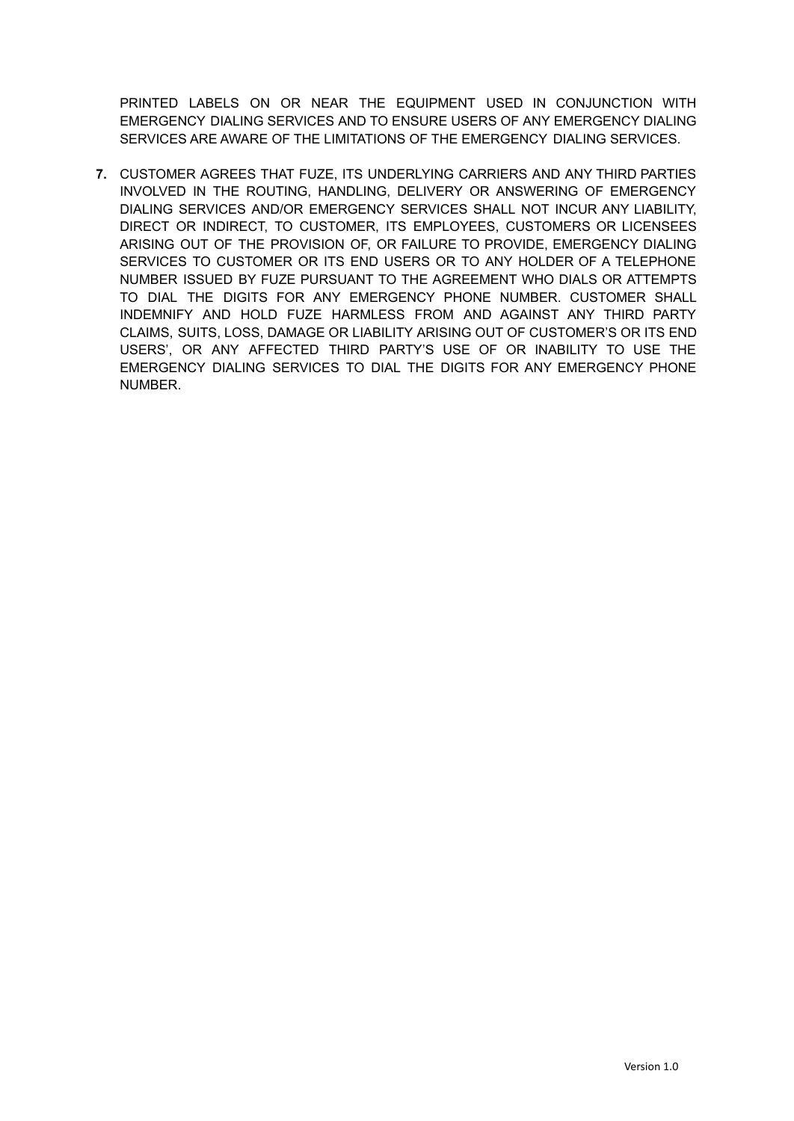PRINTED LABELS ON OR NEAR THE EQUIPMENT USED IN CONJUNCTION WITH EMERGENCY DIALING SERVICES AND TO ENSURE USERS OF ANY EMERGENCY DIALING SERVICES ARE AWARE OF THE LIMITATIONS OF THE EMERGENCY DIALING SERVICES.

**7.** CUSTOMER AGREES THAT FUZE, ITS UNDERLYING CARRIERS AND ANY THIRD PARTIES INVOLVED IN THE ROUTING, HANDLING, DELIVERY OR ANSWERING OF EMERGENCY DIALING SERVICES AND/OR EMERGENCY SERVICES SHALL NOT INCUR ANY LIABILITY, DIRECT OR INDIRECT, TO CUSTOMER, ITS EMPLOYEES, CUSTOMERS OR LICENSEES ARISING OUT OF THE PROVISION OF, OR FAILURE TO PROVIDE, EMERGENCY DIALING SERVICES TO CUSTOMER OR ITS END USERS OR TO ANY HOLDER OF A TELEPHONE NUMBER ISSUED BY FUZE PURSUANT TO THE AGREEMENT WHO DIALS OR ATTEMPTS TO DIAL THE DIGITS FOR ANY EMERGENCY PHONE NUMBER. CUSTOMER SHALL INDEMNIFY AND HOLD FUZE HARMLESS FROM AND AGAINST ANY THIRD PARTY CLAIMS, SUITS, LOSS, DAMAGE OR LIABILITY ARISING OUT OF CUSTOMER'S OR ITS END USERS', OR ANY AFFECTED THIRD PARTY'S USE OF OR INABILITY TO USE THE EMERGENCY DIALING SERVICES TO DIAL THE DIGITS FOR ANY EMERGENCY PHONE NUMBER.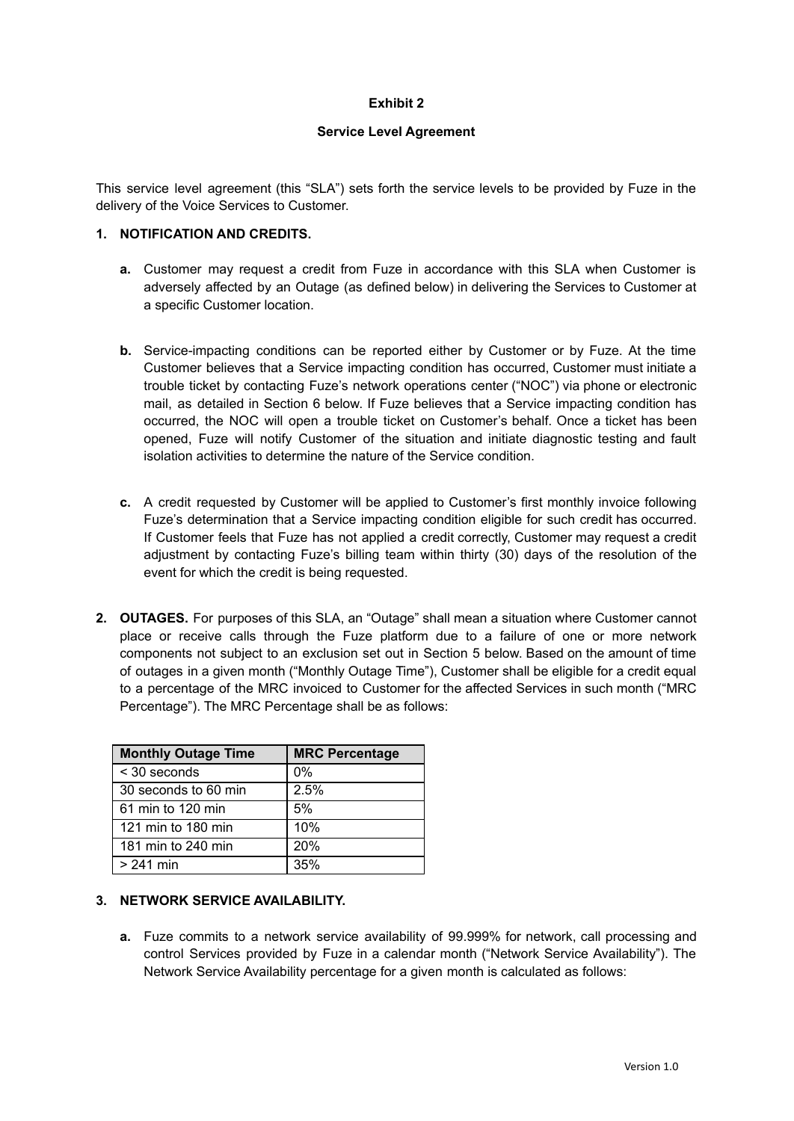## **Exhibit 2**

### **Service Level Agreement**

This service level agreement (this "SLA") sets forth the service levels to be provided by Fuze in the delivery of the Voice Services to Customer.

#### **1. NOTIFICATION AND CREDITS.**

- **a.** Customer may request a credit from Fuze in accordance with this SLA when Customer is adversely affected by an Outage (as defined below) in delivering the Services to Customer at a specific Customer location.
- **b.** Service-impacting conditions can be reported either by Customer or by Fuze. At the time Customer believes that a Service impacting condition has occurred, Customer must initiate a trouble ticket by contacting Fuze's network operations center ("NOC") via phone or electronic mail, as detailed in Section 6 below. If Fuze believes that a Service impacting condition has occurred, the NOC will open a trouble ticket on Customer's behalf. Once a ticket has been opened, Fuze will notify Customer of the situation and initiate diagnostic testing and fault isolation activities to determine the nature of the Service condition.
- **c.** A credit requested by Customer will be applied to Customer's first monthly invoice following Fuze's determination that a Service impacting condition eligible for such credit has occurred. If Customer feels that Fuze has not applied a credit correctly, Customer may request a credit adjustment by contacting Fuze's billing team within thirty (30) days of the resolution of the event for which the credit is being requested.
- **2. OUTAGES.** For purposes of this SLA, an "Outage" shall mean a situation where Customer cannot place or receive calls through the Fuze platform due to a failure of one or more network components not subject to an exclusion set out in Section 5 below. Based on the amount of time of outages in a given month ("Monthly Outage Time"), Customer shall be eligible for a credit equal to a percentage of the MRC invoiced to Customer for the affected Services in such month ("MRC Percentage"). The MRC Percentage shall be as follows:

| <b>Monthly Outage Time</b> | <b>MRC Percentage</b> |
|----------------------------|-----------------------|
| < 30 seconds               | $0\%$                 |
| 30 seconds to 60 min       | 2.5%                  |
| 61 min to 120 min          | 5%                    |
| 121 min to 180 min         | 10%                   |
| 181 min to 240 min         | 20%                   |
| > 241 min                  | 35%                   |

### **3. NETWORK SERVICE AVAILABILITY.**

**a.** Fuze commits to a network service availability of 99.999% for network, call processing and control Services provided by Fuze in a calendar month ("Network Service Availability"). The Network Service Availability percentage for a given month is calculated as follows: